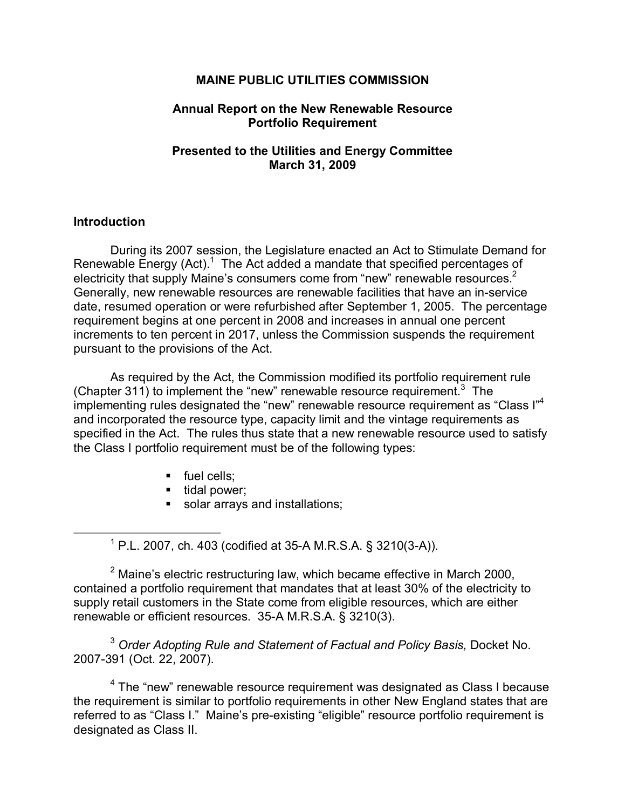## **MAINE PUBLIC UTILITIES COMMISSION**

#### **Annual Report on the New Renewable Resource Portfolio Requirement**

## **Presented to the Utilities and Energy Committee March 31, 2009**

#### **Introduction**

During its 2007 session, the Legislature enacted an Act to Stimulate Demand for Renewable Energy  $(Act)$ <sup>1</sup>. The Act added a mandate that specified percentages of electricity that supply Maine's consumers come from "new" renewable resources. $2$ Generally, new renewable resources are renewable facilities that have an in-service date, resumed operation or were refurbished after September 1, 2005. The percentage requirement begins at one percent in 2008 and increases in annual one percent increments to ten percent in 2017, unless the Commission suspends the requirement pursuant to the provisions of the Act.

As required by the Act, the Commission modified its portfolio requirement rule (Chapter 311) to implement the "new" renewable resource requirement. $3$  The implementing rules designated the "new" renewable resource requirement as "Class I"<sup>4</sup> and incorporated the resource type, capacity limit and the vintage requirements as specified in the Act. The rules thus state that a new renewable resource used to satisfy the Class I portfolio requirement must be of the following types:

- $\blacksquare$  fuel cells;
- $\blacksquare$  tidal power;
- solar arrays and installations;

 $1$  P.L. 2007, ch. 403 (codified at 35-A M.R.S.A. § 3210(3-A)).

 $2$  Maine's electric restructuring law, which became effective in March 2000, contained a portfolio requirement that mandates that at least 30% of the electricity to supply retail customers in the State come from eligible resources, which are either renewable or efficient resources. 35A M.R.S.A. § 3210(3).

<sup>3</sup> *Order Adopting Rule and Statement of Factual and Policy Basis,* Docket No. 2007391 (Oct. 22, 2007).

<sup>4</sup> The "new" renewable resource requirement was designated as Class I because the requirement is similar to portfolio requirements in other New England states that are referred to as "Class I." Maine's pre-existing "eligible" resource portfolio requirement is designated as Class II.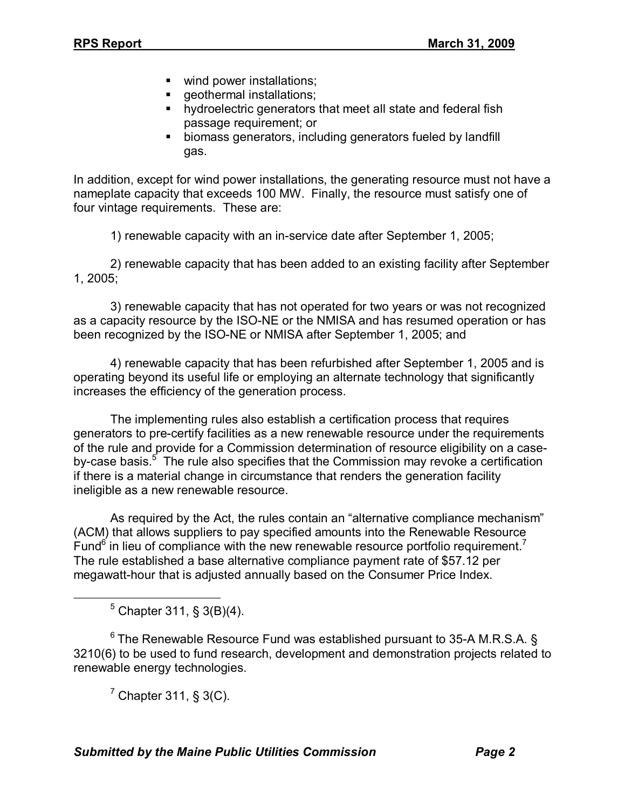- wind power installations;
- **geothermal installations;**
- **•** hydroelectric generators that meet all state and federal fish passage requirement; or
- **EXEDENT biomass generators, including generators fueled by landfill** gas.

In addition, except for wind power installations, the generating resource must not have a nameplate capacity that exceeds 100 MW. Finally, the resource must satisfy one of four vintage requirements. These are:

1) renewable capacity with an in-service date after September 1, 2005;

2) renewable capacity that has been added to an existing facility after September 1, 2005;

3) renewable capacity that has not operated for two years or was not recognized as a capacity resource by the ISO-NE or the NMISA and has resumed operation or has been recognized by the ISO-NE or NMISA after September 1, 2005; and

4) renewable capacity that has been refurbished after September 1, 2005 and is operating beyond its useful life or employing an alternate technology that significantly increases the efficiency of the generation process.

The implementing rules also establish a certification process that requires generators to pre-certify facilities as a new renewable resource under the requirements of the rule and provide for a Commission determination of resource eligibility on a case by-case basis.<sup>5</sup> The rule also specifies that the Commission may revoke a certification if there is a material change in circumstance that renders the generation facility ineligible as a new renewable resource.

As required by the Act, the rules contain an "alternative compliance mechanism" (ACM) that allows suppliers to pay specified amounts into the Renewable Resource Fund<sup>6</sup> in lieu of compliance with the new renewable resource portfolio requirement.<sup>7</sup> The rule established a base alternative compliance payment rate of \$57.12 per megawatt-hour that is adjusted annually based on the Consumer Price Index.

 $5$  Chapter 311, § 3(B)(4).

 $6$  The Renewable Resource Fund was established pursuant to 35-A M.R.S.A. § 3210(6) to be used to fund research, development and demonstration projects related to renewable energy technologies.

 $<sup>7</sup>$  Chapter 311, § 3(C).</sup>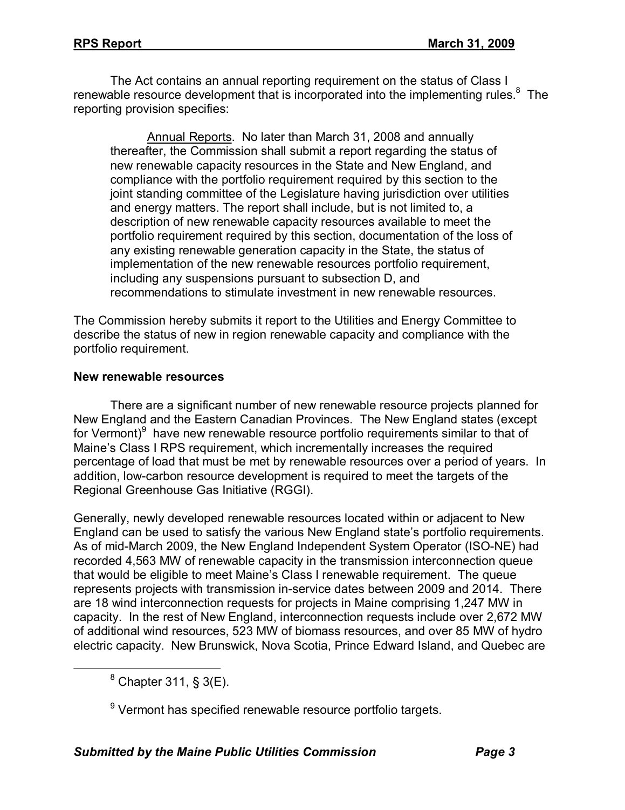The Act contains an annual reporting requirement on the status of Class I renewable resource development that is incorporated into the implementing rules.<sup>8</sup> The reporting provision specifies:

Annual Reports. No later than March 31, 2008 and annually thereafter, the Commission shall submit a report regarding the status of new renewable capacity resources in the State and New England, and compliance with the portfolio requirement required by this section to the joint standing committee of the Legislature having jurisdiction over utilities and energy matters. The report shall include, but is not limited to, a description of new renewable capacity resources available to meet the portfolio requirement required by this section, documentation of the loss of any existing renewable generation capacity in the State, the status of implementation of the new renewable resources portfolio requirement, including any suspensions pursuant to subsection D, and recommendations to stimulate investment in new renewable resources.

The Commission hereby submits it report to the Utilities and Energy Committee to describe the status of new in region renewable capacity and compliance with the portfolio requirement.

## **New renewable resources**

There are a significant number of new renewable resource projects planned for New England and the Eastern Canadian Provinces. The New England states (except for Vermont)<sup>9</sup> have new renewable resource portfolio requirements similar to that of Maine's Class I RPS requirement, which incrementally increases the required percentage of load that must be met by renewable resources over a period of years. In addition, low-carbon resource development is required to meet the targets of the Regional Greenhouse Gas Initiative (RGGI).

Generally, newly developed renewable resources located within or adjacent to New England can be used to satisfy the various New England state's portfolio requirements. As of mid-March 2009, the New England Independent System Operator (ISO-NE) had recorded 4,563 MW of renewable capacity in the transmission interconnection queue that would be eligible to meet Maine's Class I renewable requirement. The queue represents projects with transmission in-service dates between 2009 and 2014. There are 18 wind interconnection requests for projects in Maine comprising 1,247 MW in capacity. In the rest of New England, interconnection requests include over 2,672 MW of additional wind resources, 523 MW of biomass resources, and over 85 MW of hydro electric capacity. New Brunswick, Nova Scotia, Prince Edward Island, and Quebec are

 $8$  Chapter 311,  $\$$  3(E).

<sup>9</sup> Vermont has specified renewable resource portfolio targets.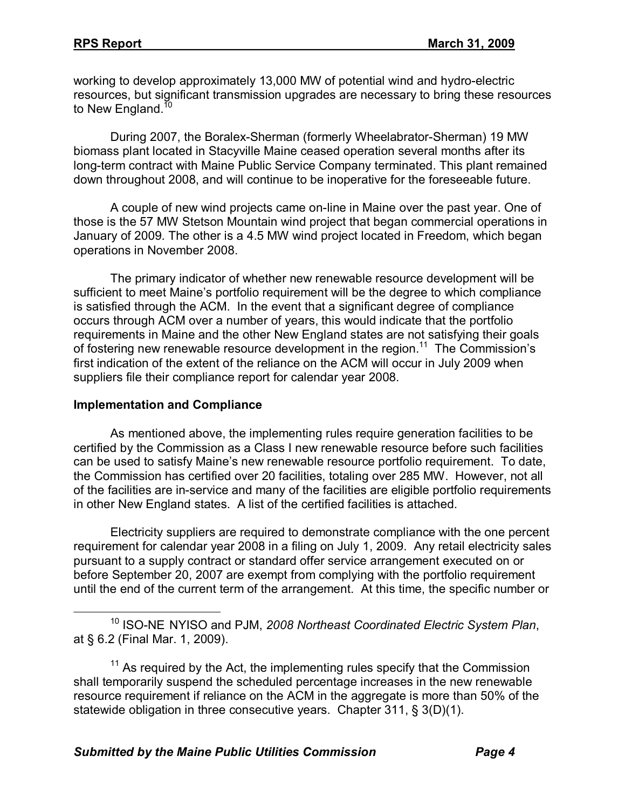working to develop approximately 13,000 MW of potential wind and hydro-electric resources, but significant transmission upgrades are necessary to bring these resources to New England.<sup>10</sup>

During 2007, the Boralex-Sherman (formerly Wheelabrator-Sherman) 19 MW biomass plant located in Stacyville Maine ceased operation several months after its long-term contract with Maine Public Service Company terminated. This plant remained down throughout 2008, and will continue to be inoperative for the foreseeable future.

A couple of new wind projects came on-line in Maine over the past year. One of those is the 57 MW Stetson Mountain wind project that began commercial operations in January of 2009. The other is a 4.5 MW wind project located in Freedom, which began operations in November 2008.

The primary indicator of whether new renewable resource development will be sufficient to meet Maine's portfolio requirement will be the degree to which compliance is satisfied through the ACM. In the event that a significant degree of compliance occurs through ACM over a number of years, this would indicate that the portfolio requirements in Maine and the other New England states are not satisfying their goals of fostering new renewable resource development in the region.<sup>11</sup> The Commission's first indication of the extent of the reliance on the ACM will occur in July 2009 when suppliers file their compliance report for calendar year 2008.

## **Implementation and Compliance**

As mentioned above, the implementing rules require generation facilities to be certified by the Commission as a Class I new renewable resource before such facilities can be used to satisfy Maine's new renewable resource portfolio requirement. To date, the Commission has certified over 20 facilities, totaling over 285 MW. However, not all of the facilities are in-service and many of the facilities are eligible portfolio requirements in other New England states. A list of the certified facilities is attached.

Electricity suppliers are required to demonstrate compliance with the one percent requirement for calendar year 2008 in a filing on July 1, 2009. Any retail electricity sales pursuant to a supply contract or standard offer service arrangement executed on or before September 20, 2007 are exempt from complying with the portfolio requirement until the end of the current term of the arrangement. At this time, the specific number or

<sup>&</sup>lt;sup>10</sup> ISO-NE NYISO and PJM, 2008 Northeast Coordinated Electric System Plan, at § 6.2 (Final Mar. 1, 2009).

 $11$  As required by the Act, the implementing rules specify that the Commission shall temporarily suspend the scheduled percentage increases in the new renewable resource requirement if reliance on the ACM in the aggregate is more than 50% of the statewide obligation in three consecutive years. Chapter 311, § 3(D)(1).